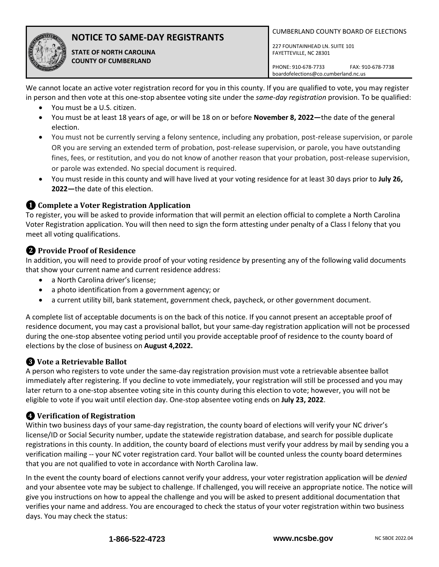

# **NOTICE TO SAME-DAY REGISTRANTS**

**STATE OF NORTH CAROLINA COUNTY OF CUMBERLAND**

CUMBERLAND COUNTY BOARD OF ELECTIONS

227 FOUNTAINHEAD LN. SUITE 101 FAYETTEVILLE, NC 28301

PHONE: 910-678-7733 FAX: 910-678-7738 boardofelections@co.cumberland.nc.us

We cannot locate an active voter registration record for you in this county. If you are qualified to vote, you may register in person and then vote at this one-stop absentee voting site under the *same-day registration* provision. To be qualified:

- You must be a U.S. citizen.
- You must be at least 18 years of age, or will be 18 on or before **November 8, 2022—**the date of the general election.
- You must not be currently serving a felony sentence, including any probation, post-release supervision, or parole OR you are serving an extended term of probation, post-release supervision, or parole, you have outstanding fines, fees, or restitution, and you do not know of another reason that your probation, post-release supervision, or parole was extended. No special document is required.
- You must reside in this county and will have lived at your voting residence for at least 30 days prior to **July 26, 2022—**the date of this election.

#### **❶Complete a Voter Registration Application**

To register, you will be asked to provide information that will permit an election official to complete a North Carolina Voter Registration application. You will then need to sign the form attesting under penalty of a Class I felony that you meet all voting qualifications.

## **❷Provide Proof of Residence**

In addition, you will need to provide proof of your voting residenc*e* by presenting any of the following valid documents that show your current name and current residence address:

- a North Carolina driver's license;
- a photo identification from a government agency; or
- a current utility bill, bank statement, government check, paycheck, or other government document.

A complete list of acceptable documents is on the back of this notice. If you cannot present an acceptable proof of residence document, you may cast a provisional ballot, but your same-day registration application will not be processed during the one-stop absentee voting period until you provide acceptable proof of residence to the county board of elections by the close of business on **August 4,2022.**

## **❸ Vote a Retrievable Ballot**

A person who registers to vote under the same-day registration provision must vote a retrievable absentee ballot immediately after registering. If you decline to vote immediately, your registration will still be processed and you may later return to a one-stop absentee voting site in this county during this election to vote; however, you will not be eligible to vote if you wait until election day. One-stop absentee voting ends on **July 23, 2022**.

#### **❹ Verification of Registration**

Within two business days of your same-day registration, the county board of elections will verify your NC driver's license/ID or Social Security number, update the statewide registration database, and search for possible duplicate registrations in this county. In addition, the county board of elections must verify your address by mail by sending you a verification mailing -- your NC voter registration card. Your ballot will be counted unless the county board determines that you are not qualified to vote in accordance with North Carolina law.

In the event the county board of elections cannot verify your address, your voter registration application will be *denied* and your absentee vote may be subject to challenge. If challenged, you will receive an appropriate notice. The notice will give you instructions on how to appeal the challenge and you will be asked to present additional documentation that verifies your name and address. You are encouraged to check the status of your voter registration within two business days. You may check the status: